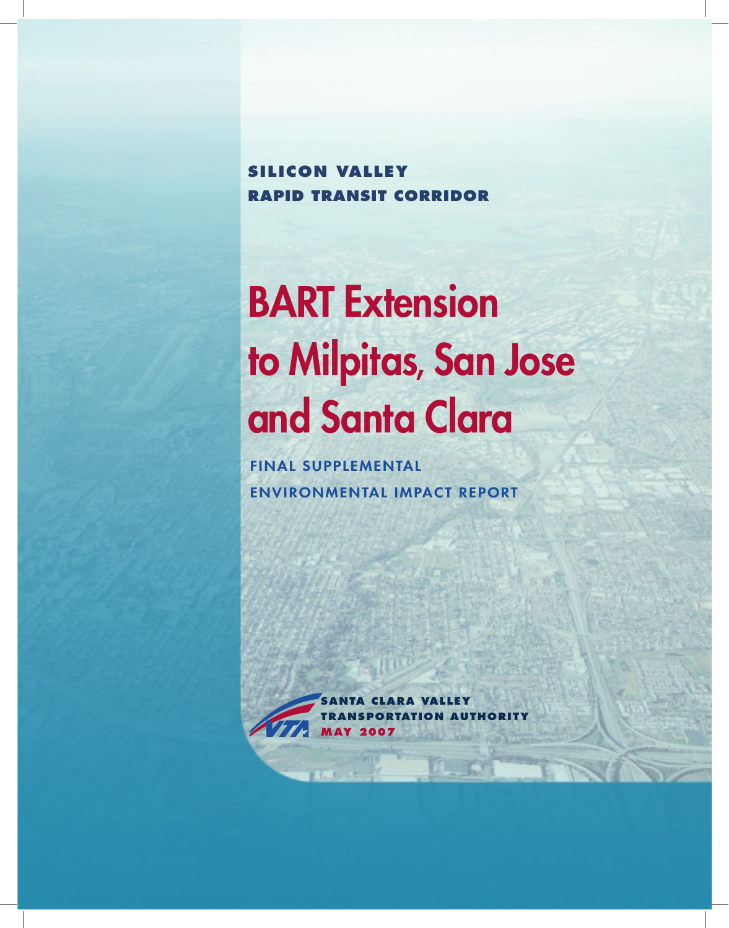**SILICON VALLEY RAPID TRANSIT CORRIDOR** 

# **BART Extension** to Milpitas, San Jose and Santa Clara

**FINAL SUPPLEMENTAL ENVIRONMENTAL IMPACT REPORT**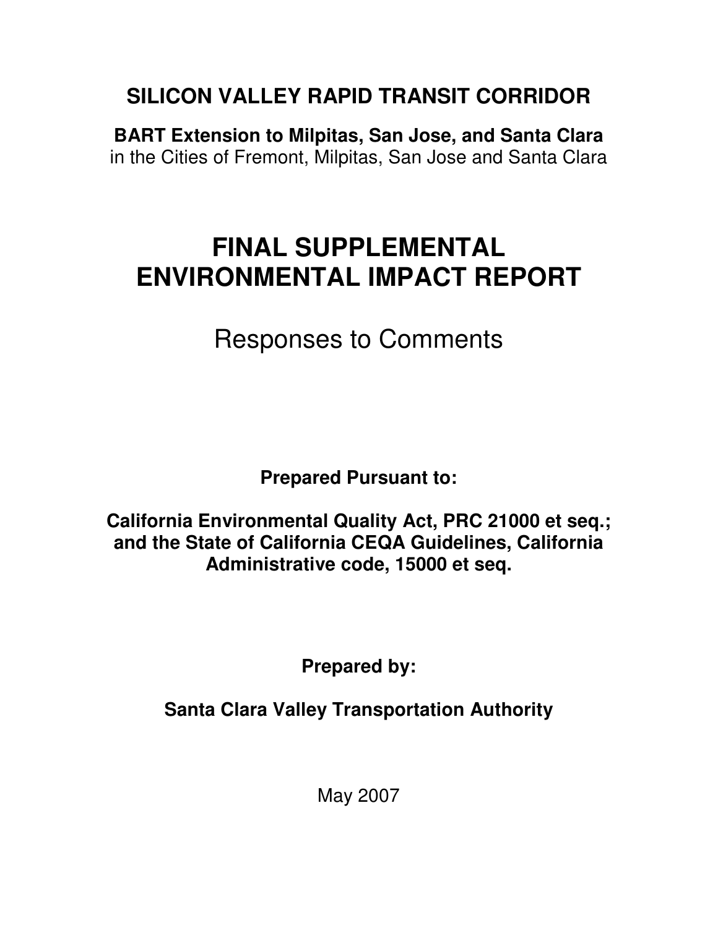## **SILICON VALLEY RAPID TRANSIT CORRIDOR**

**BART Extension to Milpitas, San Jose, and Santa Clara**  in the Cities of Fremont, Milpitas, San Jose and Santa Clara

## **FINAL SUPPLEMENTAL ENVIRONMENTAL IMPACT REPORT**

Responses to Comments

**Prepared Pursuant to:** 

**California Environmental Quality Act, PRC 21000 et seq.; and the State of California CEQA Guidelines, California Administrative code, 15000 et seq.** 

**Prepared by:** 

**Santa Clara Valley Transportation Authority** 

May 2007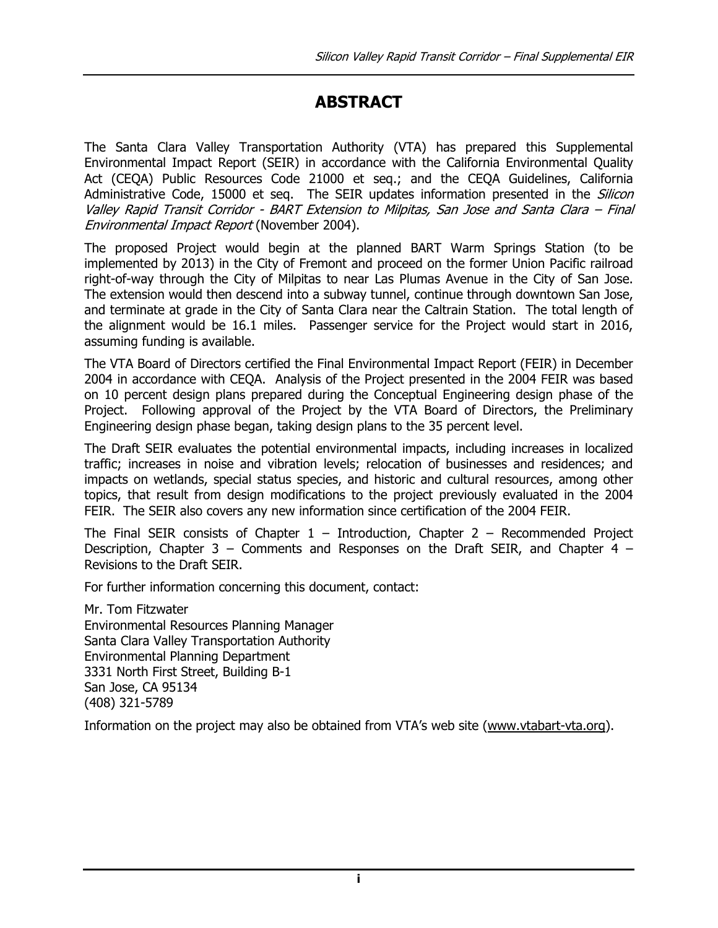### ABSTRACT

The Santa Clara Valley Transportation Authority (VTA) has prepared this Supplemental Environmental Impact Report (SEIR) in accordance with the California Environmental Quality Act (CEQA) Public Resources Code 21000 et seq.; and the CEQA Guidelines, California Administrative Code, 15000 et seq. The SEIR updates information presented in the *Silicon* Valley Rapid Transit Corridor - BART Extension to Milpitas, San Jose and Santa Clara – Final Environmental Impact Report (November 2004).

The proposed Project would begin at the planned BART Warm Springs Station (to be implemented by 2013) in the City of Fremont and proceed on the former Union Pacific railroad right-of-way through the City of Milpitas to near Las Plumas Avenue in the City of San Jose. The extension would then descend into a subway tunnel, continue through downtown San Jose, and terminate at grade in the City of Santa Clara near the Caltrain Station. The total length of the alignment would be 16.1 miles. Passenger service for the Project would start in 2016, assuming funding is available.

The VTA Board of Directors certified the Final Environmental Impact Report (FEIR) in December 2004 in accordance with CEQA. Analysis of the Project presented in the 2004 FEIR was based on 10 percent design plans prepared during the Conceptual Engineering design phase of the Project. Following approval of the Project by the VTA Board of Directors, the Preliminary Engineering design phase began, taking design plans to the 35 percent level.

The Draft SEIR evaluates the potential environmental impacts, including increases in localized traffic; increases in noise and vibration levels; relocation of businesses and residences; and impacts on wetlands, special status species, and historic and cultural resources, among other topics, that result from design modifications to the project previously evaluated in the 2004 FEIR. The SEIR also covers any new information since certification of the 2004 FEIR.

The Final SEIR consists of Chapter  $1$  – Introduction, Chapter 2 – Recommended Project Description, Chapter 3 – Comments and Responses on the Draft SEIR, and Chapter 4 – Revisions to the Draft SEIR.

For further information concerning this document, contact:

Mr. Tom Fitzwater Environmental Resources Planning Manager Santa Clara Valley Transportation Authority Environmental Planning Department 3331 North First Street, Building B-1 San Jose, CA 95134 (408) 321-5789

Information on the project may also be obtained from VTA's web site (www.vtabart-vta.org).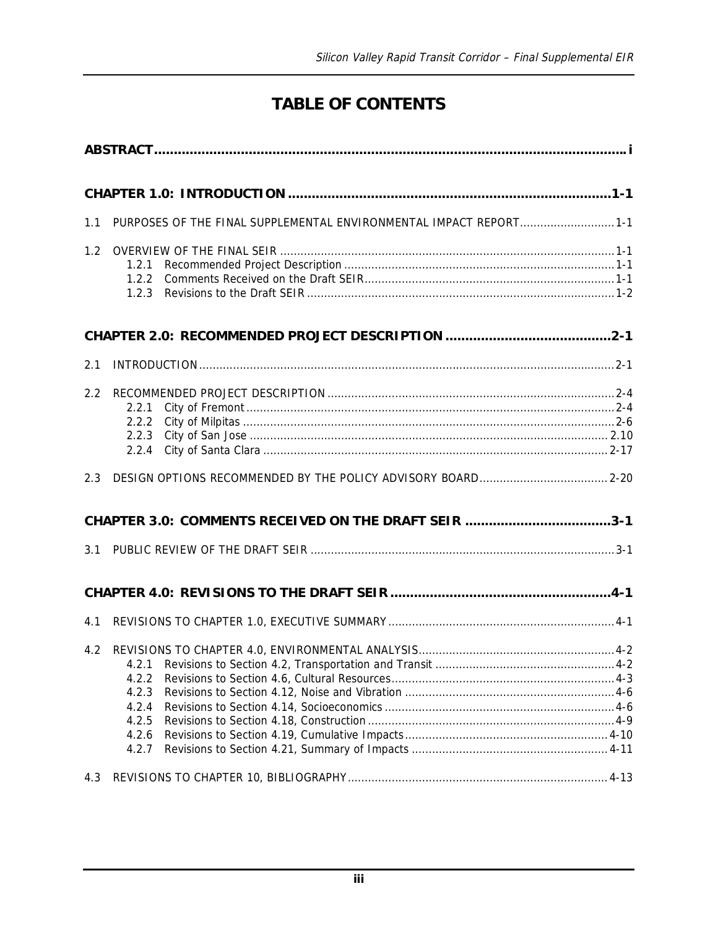#### **TABLE OF CONTENTS**

| 1.1 | PURPOSES OF THE FINAL SUPPLEMENTAL ENVIRONMENTAL IMPACT REPORT 1-1 |  |  |  |
|-----|--------------------------------------------------------------------|--|--|--|
| 1.2 | 1.2.1<br>1.2.2<br>1.2.3                                            |  |  |  |
|     |                                                                    |  |  |  |
| 2.1 |                                                                    |  |  |  |
| 2.2 | 2.2.1                                                              |  |  |  |
| 2.3 |                                                                    |  |  |  |
| 3.1 | CHAPTER 3.0: COMMENTS RECEIVED ON THE DRAFT SEIR 3-1               |  |  |  |
|     |                                                                    |  |  |  |
| 4.1 |                                                                    |  |  |  |
| 4.2 | 4.2.2<br>4.2.3<br>4.2.4<br>4.2.5<br>4.2.6<br>4.2.7                 |  |  |  |
| 4.3 |                                                                    |  |  |  |